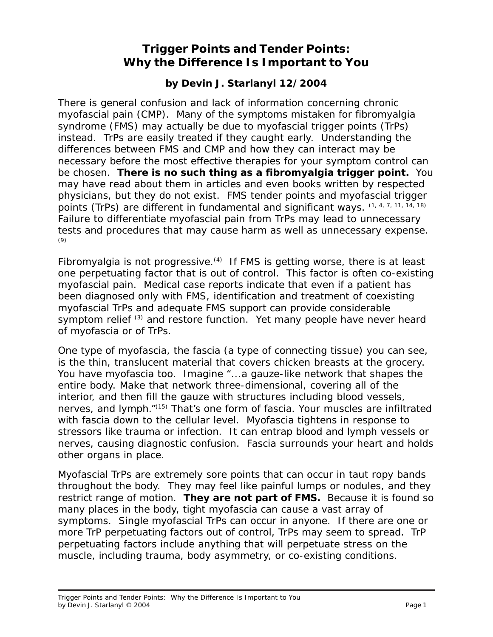## **Trigger Points and Tender Points: Why the Difference Is Important to You**

## **by Devin J. Starlanyl 12/2004**

There is general confusion and lack of information concerning chronic myofascial pain (CMP). Many of the symptoms mistaken for fibromyalgia syndrome (FMS) may actually be due to myofascial trigger points (TrPs) instead. TrPs are easily treated if they caught early. Understanding the differences between FMS and CMP and how they can interact may be necessary before the most effective therapies for your symptom control can be chosen. *There is no such thing as a fibromyalgia trigger point***.** You may have read about them in articles and even books written by respected physicians, but they do not exist. FMS *tender points* and myofascial *trigger points* (TrPs) are different in fundamental and *significant* ways. (1, 4, 7, 11, 14, 18) Failure to differentiate myofascial pain from TrPs may lead to unnecessary tests and procedures that may cause harm as well as unnecessary expense. (9)

Fibromyalgia is not progressive.<sup>(4)</sup> If FMS is getting worse, there is at least one perpetuating factor that is out of control. This factor is often co-existing myofascial pain. Medical case reports indicate that even if a patient has been diagnosed only with FMS, identification and treatment of coexisting myofascial TrPs and adequate FMS support can provide considerable symptom relief <sup>(3)</sup> and restore function. Yet many people have never heard of myofascia or of TrPs.

One type of myofascia, the fascia (a type of connecting tissue) you can see, is the thin, translucent material that covers chicken breasts at the grocery. You have myofascia too. Imagine "...a gauze-like network that shapes the entire body. Make that network three-dimensional, covering all of the interior, and then fill the gauze with structures including blood vessels, nerves, and lymph."(15) That's one form of fascia. Your muscles are infiltrated with fascia down to the cellular level. Myofascia tightens in response to stressors like trauma or infection. It can entrap blood and lymph vessels or nerves, causing diagnostic confusion. Fascia surrounds your heart and holds other organs in place.

Myofascial TrPs are extremely sore points that can occur in taut ropy bands throughout the body. They may feel like painful lumps or nodules, and they restrict range of motion. *They are not part of FMS***.** Because it is found so many places in the body, tight myofascia can cause a vast array of symptoms. Single myofascial TrPs can occur in anyone. If there are one or more TrP perpetuating factors out of control, TrPs may seem to spread. TrP perpetuating factors include anything that will perpetuate stress on the muscle, including trauma, body asymmetry, or co-existing conditions.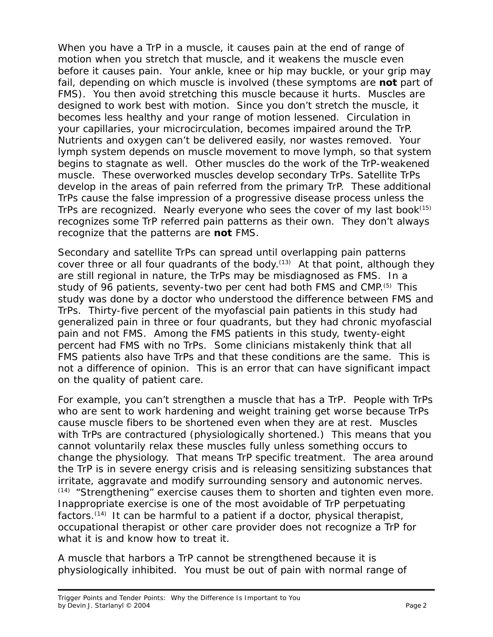When you have a TrP in a muscle, it causes pain at the end of range of motion when you stretch that muscle, and it weakens the muscle even before it causes pain. Your ankle, knee or hip may buckle, or your grip may fail, depending on which muscle is involved (these symptoms are *not* part of FMS). You then avoid stretching this muscle because it hurts. Muscles are designed to work best with motion. Since you don't stretch the muscle, it becomes less healthy and your range of motion lessened. Circulation in your capillaries, your *microcirculation*, becomes impaired around the TrP. Nutrients and oxygen can't be delivered easily, nor wastes removed. Your lymph system depends on muscle movement to move lymph, so that system begins to stagnate as well. Other muscles do the work of the TrP-weakened muscle. These overworked muscles develop secondary TrPs. Satellite TrPs develop in the areas of pain referred from the primary TrP. These additional TrPs cause the false impression of a progressive disease process unless the TrPs are recognized. Nearly everyone who sees the cover of my last book<sup>(15)</sup> recognizes some TrP referred pain patterns as their own. They don't always recognize that the patterns are *not* FMS.

Secondary and satellite TrPs can spread until overlapping pain patterns cover three or all four quadrants of the body. $(13)$  At that point, although they are still regional in nature, the TrPs may be misdiagnosed as FMS. In a study of 96 patients, seventy-two per cent had both FMS and CMP.<sup>(5)</sup> This study was done by a doctor who understood the difference between FMS and TrPs. Thirty-five percent of the myofascial pain patients in this study had generalized pain in three or four quadrants, but they had chronic myofascial pain and not FMS. Among the FMS patients in this study, twenty-eight percent had FMS with *no* TrPs. Some clinicians mistakenly think that all FMS patients also have TrPs and that these conditions are the same. This is not a difference of opinion. This is an error that can have significant impact on the quality of patient care.

For example, you *can't* strengthen a muscle that has a TrP*.* People with TrPs who are sent to work hardening and weight training get *worse* because TrPs cause muscle fibers to be shortened even when they are at rest. Muscles with TrPs are contractured (physiologically shortened.) This means that you cannot voluntarily relax these muscles fully unless something occurs to change the physiology. That means TrP specific treatment. The area around the TrP is in severe energy crisis and is releasing sensitizing substances that irritate, aggravate and modify surrounding sensory and autonomic nerves.  $(14)$  "Strengthening" exercise causes them to shorten and tighten even more. Inappropriate exercise is one of the most avoidable of TrP perpetuating factors.<sup> $(14)$ </sup> It can be harmful to a patient if a doctor, physical therapist, occupational therapist or other care provider does not recognize a TrP for what it is and know how to treat it.

A muscle that harbors a TrP cannot be strengthened because it is physiologically inhibited. You must be out of pain with normal range of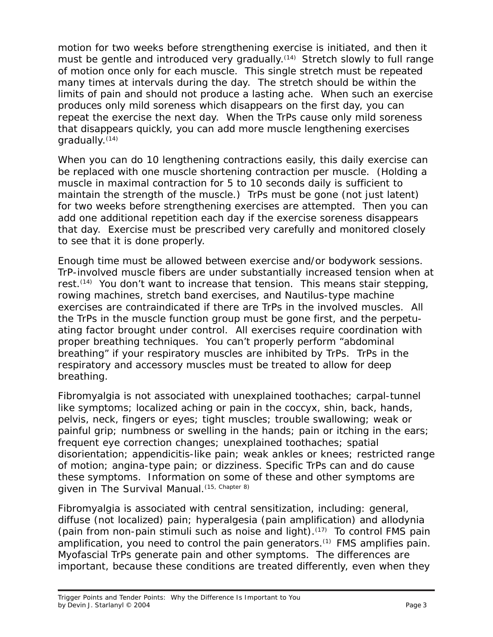motion for two weeks before strengthening exercise is initiated, and then it must be gentle and introduced very gradually.<sup>(14)</sup> Stretch slowly to full range of motion *once* only for each muscle. This single stretch must be repeated many times at intervals during the day. The stretch should be within the limits of pain and should not produce a lasting ache. When such an exercise produces only mild soreness which disappears on the first day, you can repeat the exercise the next day. When the TrPs cause only mild soreness that disappears quickly, you can add more muscle *lengthening* exercises gradually.(14)

When you can do 10 lengthening contractions easily, this daily exercise can be replaced with *one* muscle shortening contraction per muscle. (Holding a muscle in maximal contraction for 5 to 10 seconds daily is sufficient to maintain the strength of the muscle.) TrPs must be gone (not just latent) for two weeks before strengthening exercises are attempted. Then you can add *one* additional repetition each day *if* the exercise soreness disappears that day. Exercise must be prescribed *very* carefully and monitored closely to see that it is done properly.

Enough time must be allowed between exercise and/or bodywork sessions. TrP-involved muscle fibers are under substantially increased tension when at rest.<sup>(14)</sup> You don't want to increase that tension. This means stair stepping, rowing machines, stretch band exercises, and Nautilus-type machine exercises are contraindicated if there are TrPs in the involved muscles. All the TrPs in the muscle function group must be gone first, and the perpetuating factor brought under control. All exercises require coordination with proper breathing techniques. You can't properly perform "abdominal breathing" if your respiratory muscles are inhibited by TrPs. TrPs in the respiratory and accessory muscles must be treated to allow for deep breathing.

Fibromyalgia *is not* associated with unexplained toothaches; carpal-tunnel like symptoms; localized aching or pain in the coccyx, shin, back, hands, pelvis, neck, fingers or eyes; tight muscles; trouble swallowing; weak or painful grip; numbness or swelling in the hands; pain or itching in the ears; frequent eye correction changes; unexplained toothaches; spatial disorientation; appendicitis-like pain; weak ankles or knees; restricted range of motion; angina-type pain; or dizziness. Specific TrPs can and do cause these symptoms. Information on some of these and other symptoms are given in *The Survival Manual*.<sup>(15, Chapter 8)</sup>

Fibromyalgia *is* associated with central sensitization, including: *general,* diffuse (*not* localized) pain; hyperalgesia (pain amplification) and allodynia (pain from non-pain stimuli such as noise and light).<sup> $(17)$ </sup> To control FMS pain *amplification*, you need to control the pain *generators*.(1) FMS *amplifies* pain. Myofascial TrPs *generate* pain and other symptoms. The differences are important, because these conditions are treated differently, even when they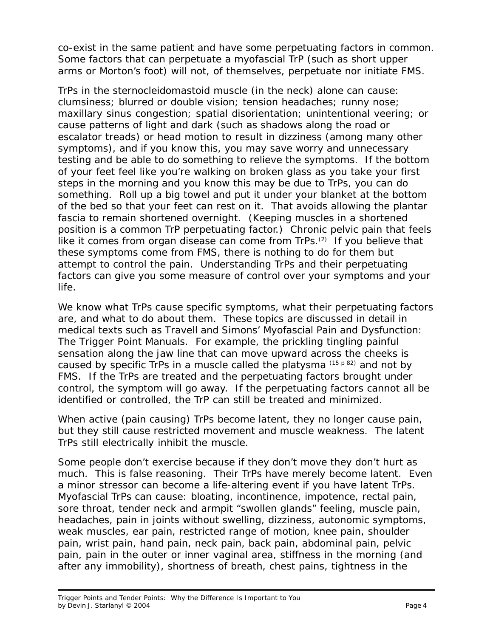co-exist in the same patient and have some perpetuating factors in common. Some factors that can perpetuate a myofascial TrP (such as short upper arms or Morton's foot) will not, of themselves, perpetuate nor initiate FMS.

TrPs in the sternocleidomastoid muscle (in the neck) alone can cause: clumsiness; blurred or double vision; tension headaches; runny nose; maxillary sinus congestion; spatial disorientation; unintentional veering; or cause patterns of light and dark (such as shadows along the road or escalator treads) or head motion to result in dizziness (among many other symptoms), and if you know this, you may save worry and unnecessary testing and be able to do something to relieve the symptoms. If the bottom of your feet feel like you're walking on broken glass as you take your first steps in the morning and you know this may be due to TrPs, you can do something. Roll up a big towel and put it under your blanket at the bottom of the bed so that your feet can rest on it. That avoids allowing the plantar fascia to remain shortened overnight. (Keeping muscles in a shortened position is a common TrP perpetuating factor.) Chronic pelvic pain that feels like it comes from organ disease can come from  $TrPs<sub>1</sub>(2)$  If you believe that these symptoms come from FMS, there is nothing to do for them but attempt to control the pain. Understanding TrPs and their perpetuating factors can give you some measure of control over your symptoms and your life.

We know what TrPs cause specific symptoms, what their perpetuating factors are, and what to do about them. These topics are discussed in detail in medical texts such as *Travell and Simons' Myofascial Pain and Dysfunction: The Trigger Point Manuals*. For example, the prickling tingling painful sensation along the jaw line that can move upward across the cheeks is caused by specific TrPs in a muscle called the platysma (15 p 82) and not by FMS. If the TrPs are treated and the perpetuating factors brought under control, the symptom will go away. If the perpetuating factors cannot all be identified or controlled, the TrP can still be treated and minimized.

When *active* (pain causing) TrPs become *latent*, they no longer cause pain, but they still cause restricted movement and muscle weakness. The latent TrPs still electrically inhibit the muscle.

Some people don't exercise because if they don't move they don't hurt as much. This is false reasoning. Their TrPs have merely become latent. Even a minor stressor can become a life-altering event if you have latent TrPs. Myofascial TrPs can cause: bloating, incontinence, impotence, rectal pain, sore throat, tender neck and armpit "swollen glands" feeling, muscle pain, headaches, pain in joints without swelling, dizziness, autonomic symptoms, weak muscles, ear pain, restricted range of motion, knee pain, shoulder pain, wrist pain, hand pain, neck pain, back pain, abdominal pain, pelvic pain, pain in the outer or inner vaginal area, stiffness in the morning (and after any immobility), shortness of breath, chest pains, tightness in the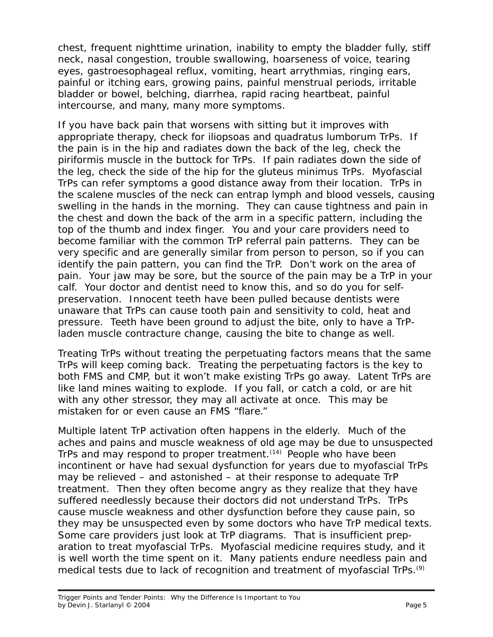chest, frequent nighttime urination, inability to empty the bladder fully, stiff neck, nasal congestion, trouble swallowing, hoarseness of voice, tearing eyes, gastroesophageal reflux, vomiting, heart arrythmias, ringing ears, painful or itching ears, growing pains, painful menstrual periods, irritable bladder or bowel, belching, diarrhea, rapid racing heartbeat, painful intercourse, and many, many more symptoms.

If you have back pain that worsens with sitting but it improves with appropriate therapy, check for iliopsoas and quadratus lumborum TrPs. If the pain is in the hip and radiates down the back of the leg, check the piriformis muscle in the buttock for TrPs. If pain radiates down the side of the leg, check the side of the hip for the gluteus minimus TrPs. Myofascial TrPs can refer symptoms a good distance away from their location. TrPs in the scalene muscles of the neck can entrap lymph and blood vessels, causing swelling in the hands in the morning. They can cause tightness and pain in the chest and down the back of the arm in a specific pattern, including the top of the thumb and index finger. You and your care providers need to become familiar with the common TrP referral pain patterns. They can be very specific and are generally similar from person to person, so if you can identify the pain pattern, you can find the TrP. Don't work on the area of pain. Your jaw may be sore, but the source of the pain may be a TrP in your calf. Your doctor and dentist need to know this, and so do you for selfpreservation. Innocent teeth have been pulled because dentists were unaware that TrPs can cause tooth pain and sensitivity to cold, heat and pressure. Teeth have been ground to adjust the bite, only to have a TrPladen muscle contracture change, causing the bite to change as well.

Treating TrPs without treating the perpetuating factors means that the same TrPs will keep coming back. Treating the perpetuating factors *is* the key to both FMS and CMP, but it won't make existing TrPs go away. Latent TrPs are like land mines waiting to explode. If you fall, or catch a cold, or are hit with any other stressor, they may all activate at once. This may be mistaken for or even cause an FMS "flare."

Multiple latent TrP activation often happens in the elderly. Much of the aches and pains and muscle weakness of old age may be due to unsuspected TrPs and may respond to proper treatment.<sup>(14)</sup> People who have been incontinent or have had sexual dysfunction for years due to myofascial TrPs may be relieved – and astonished – at their response to adequate TrP treatment. Then they often become angry as they realize that they have suffered needlessly because their doctors did not understand TrPs. TrPs cause muscle weakness and other dysfunction before they cause pain, so they may be unsuspected even by some doctors who have TrP medical texts. Some care providers just look at TrP diagrams. That is insufficient preparation to treat myofascial TrPs. Myofascial medicine requires study, and it is well worth the time spent on it. Many patients endure needless pain and medical tests due to lack of recognition and treatment of myofascial TrPs.<sup>(9)</sup>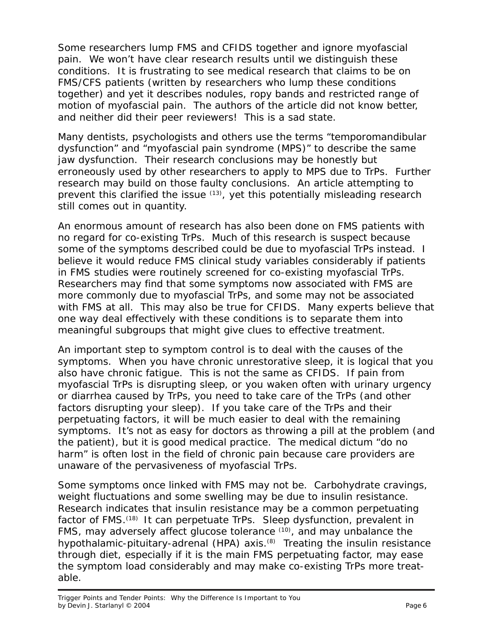Some researchers lump FMS and CFIDS together and ignore myofascial pain. We won't have clear research results until we distinguish these conditions. It is frustrating to see medical research that claims to be on FMS/CFS patients (written by researchers who lump these conditions together) and yet it describes nodules, ropy bands and restricted range of motion of myofascial pain. The authors of the article did not know better, and neither did their peer reviewers! This is a sad state.

Many dentists, psychologists and others use the terms "temporomandibular dysfunction" and "myofascial pain syndrome (MPS)" to describe the same jaw dysfunction. Their research conclusions may be honestly but erroneously used by other researchers to apply to MPS due to TrPs. Further research may build on those faulty conclusions. An article attempting to prevent this clarified the issue  $(13)$ , yet this potentially misleading research still comes out in quantity.

An enormous amount of research has also been done on FMS patients with no regard for co-existing TrPs. Much of this research is suspect because some of the symptoms described could be due to myofascial TrPs instead. I believe it would reduce FMS clinical study variables considerably if patients in FMS studies were routinely screened for co-existing myofascial TrPs. Researchers may find that some symptoms now associated with FMS are more commonly due to myofascial TrPs, and some may not be associated with FMS at all. This may also be true for CFIDS. Many experts believe that one way deal effectively with these conditions is to separate them into meaningful subgroups that might give clues to effective treatment.

An important step to symptom control is to deal with the *causes* of the symptoms. When you have chronic unrestorative sleep, it is logical that you also have chronic fatigue. This is not the same as CFIDS. If pain from myofascial TrPs is disrupting sleep, or you waken often with urinary urgency or diarrhea caused by TrPs, you need to take care of the TrPs (and other factors disrupting your sleep). If you take care of the TrPs and their perpetuating factors, it will be much easier to deal with the remaining symptoms. It's not as easy for doctors as throwing a pill at the problem (and the patient), but it *is* good medical practice. The medical dictum "do no harm" is often lost in the field of chronic pain because care providers are unaware of the pervasiveness of myofascial TrPs.

Some symptoms once linked with FMS may not be. Carbohydrate cravings, weight fluctuations and some swelling may be due to insulin resistance. Research indicates that insulin resistance may be a common perpetuating factor of FMS.<sup>(18)</sup> It can perpetuate TrPs. Sleep dysfunction, prevalent in FMS, may adversely affect glucose tolerance (10), and may unbalance the hypothalamic-pituitary-adrenal (HPA) axis.<sup>(8)</sup> Treating the insulin resistance through diet, especially if it is the main FMS perpetuating factor, may ease the symptom load considerably and may make co-existing TrPs more treatable.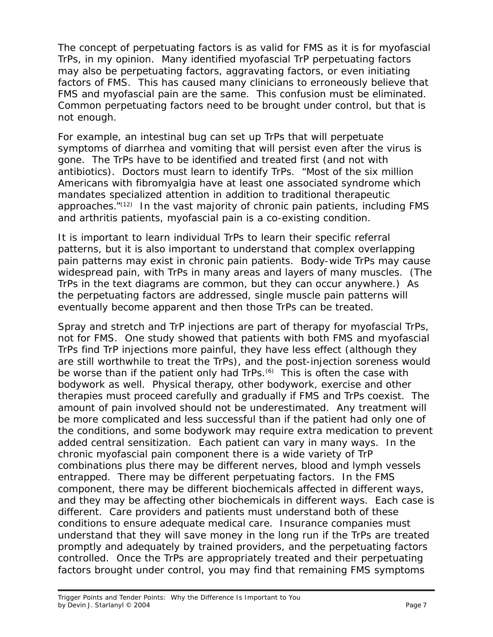The concept of perpetuating factors is as valid for FMS as it is for myofascial TrPs, in my opinion. Many identified myofascial TrP perpetuating factors may also be perpetuating factors, aggravating factors, or even initiating factors of FMS. This has caused many clinicians to erroneously believe that FMS and myofascial pain are the same. This confusion must be eliminated. Common perpetuating factors need to be brought under control, but that is not enough.

For example, an intestinal bug can set up TrPs that will perpetuate symptoms of diarrhea and vomiting that will persist even *after* the virus is gone. The TrPs *have to be* identified and treated first (and not with antibiotics). Doctors *must* learn to identify TrPs. "Most of the six million Americans with fibromyalgia have at least one associated syndrome which mandates specialized attention in addition to traditional therapeutic approaches."(12) In the vast majority of chronic pain patients, including FMS and arthritis patients, myofascial pain is a co-existing condition.

It is important to learn individual TrPs to learn their specific referral patterns, but it is also important to understand that complex overlapping pain patterns may exist in chronic pain patients. Body-wide TrPs may cause widespread pain, with TrPs in many areas and layers of many muscles. (The TrPs in the text diagrams are common, but they can occur anywhere.) As the perpetuating factors are addressed, single muscle pain patterns will eventually become apparent and then those TrPs can be treated.

Spray and stretch and TrP injections are part of therapy for myofascial TrPs, not for FMS. One study showed that patients with both FMS and myofascial TrPs find TrP injections more painful, they have less effect (although they are still worthwhile to treat the TrPs), and the post-injection soreness would be worse than if the patient only had TrPs.<sup>(6)</sup> This is often the case with bodywork as well. Physical therapy, other bodywork, exercise and other therapies must proceed *carefully* and *gradually* if FMS and TrPs coexist. The amount of pain involved should not be underestimated. Any treatment will be more complicated and less successful than if the patient had only one of the conditions, and some bodywork may require extra medication to prevent added central sensitization. Each patient can vary in many ways. In the chronic myofascial pain component there is a wide variety of TrP combinations plus there may be different nerves, blood and lymph vessels entrapped. There may be different perpetuating factors. In the FMS component, there may be different biochemicals affected in different ways, and they may be affecting other biochemicals in different ways. Each case is different. Care providers and patients must understand both of these conditions to ensure adequate medical care. Insurance companies must understand that they will save money in the long run if the TrPs are treated promptly and adequately by trained providers, and the perpetuating factors controlled. Once the TrPs are appropriately treated and their perpetuating factors brought under control, you may find that remaining FMS symptoms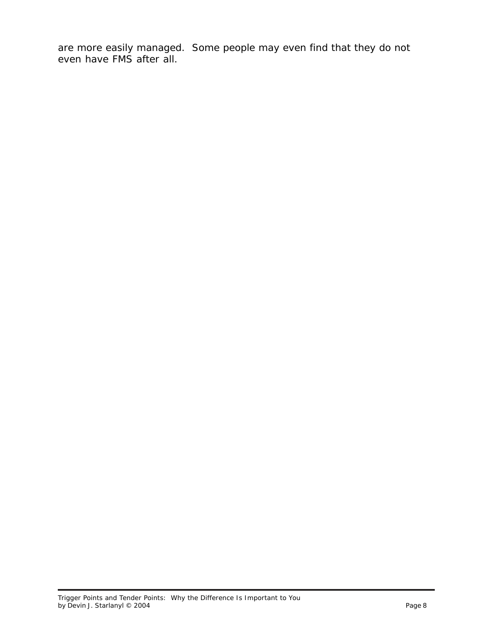are more easily managed. Some people may even find that they do not even have FMS after all.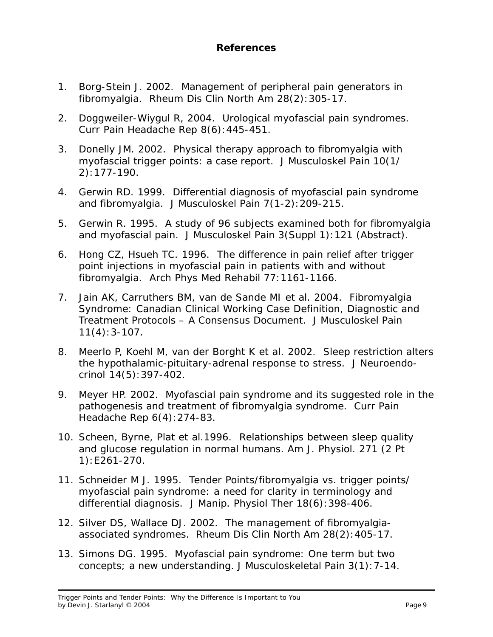## **References**

- 1. Borg-Stein J. 2002. Management of peripheral pain generators in fibromyalgia. *Rheum Dis Clin North Am* 28(2):305-17.
- 2. Doggweiler-Wiygul R, 2004. Urological myofascial pain syndromes. *Curr Pain Headache Rep* 8(6):445-451.
- 3. Donelly JM. 2002. Physical therapy approach to fibromyalgia with myofascial trigger points: a case report. *J Musculoskel Pain* 10(1/ 2):177-190.
- 4. Gerwin RD. 1999. Differential diagnosis of myofascial pain syndrome and fibromyalgia. *J Musculoskel Pain* 7(1-2):209-215.
- 5. Gerwin R. 1995. A study of 96 subjects examined both for fibromyalgia and myofascial pain*. J Musculoskel Pain* 3(Suppl 1):121 (Abstract).
- 6. Hong CZ, Hsueh TC. 1996. The difference in pain relief after trigger point injections in myofascial pain in patients with and without fibromyalgia. *Arch Phys Med Rehabil* 77:1161-1166.
- 7. Jain AK, Carruthers BM, van de Sande MI et al. 2004. Fibromyalgia Syndrome: Canadian Clinical Working Case Definition, Diagnostic and Treatment Protocols – A Consensus Document. *J Musculoskel Pain* 11(4):3-107.
- 8. Meerlo P, Koehl M, van der Borght K et al. 2002. Sleep restriction alters the hypothalamic-pituitary-adrenal response to stress. *J Neuroendocrinol* 14(5):397-402.
- 9. Meyer HP. 2002. Myofascial pain syndrome and its suggested role in the pathogenesis and treatment of fibromyalgia syndrome. *Curr Pain Headache Rep* 6(4):274-83.
- 10. Scheen, Byrne, Plat et al.1996. Relationships between sleep quality and glucose regulation in normal humans. *Am J. Physiol.* 271 (2 Pt 1):E261-270.
- 11. Schneider M J. 1995. Tender Points/fibromyalgia vs. trigger points/ myofascial pain syndrome: a need for clarity in terminology and differential diagnosis. *J Manip. Physiol Ther* 18(6):398-406.
- 12. Silver DS, Wallace DJ. 2002. The management of fibromyalgiaassociated syndromes. *Rheum Dis Clin North Am* 28(2):405-17.
- 13. Simons DG. 1995. Myofascial pain syndrome: One term but two concepts; a new understanding. *J Musculoskeletal Pain* 3(1):7-14.